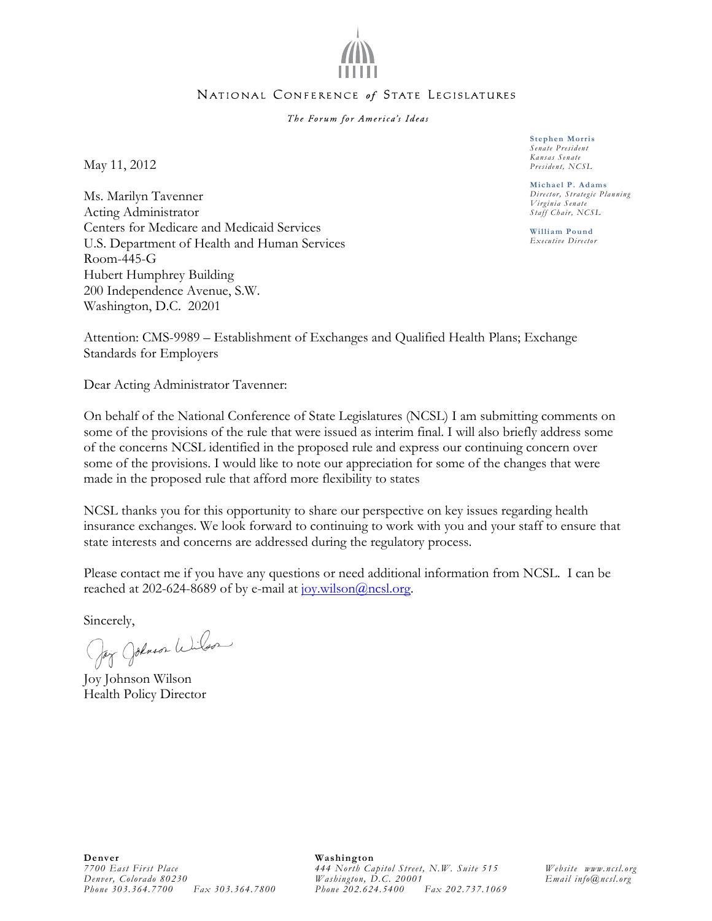

#### NATIONAL CONFERENCE of STATE LEGISLATURES

The Forum for America's Ideas

May 11, 2012

Ms. Marilyn Tavenner Acting Administrator Centers for Medicare and Medicaid Services U.S. Department of Health and Human Services Room-445-G Hubert Humphrey Building 200 Independence Avenue, S.W. Washington, D.C. 20201

**Stephen Morris**  *Senate President Kansas Senate President, NCSL* 

**Michael P. Adams**  *Director, Strategic Planning Virginia Senate Staff Chair, NCSL* 

**William Pound**  *Executive Director* 

Attention: CMS-9989 – Establishment of Exchanges and Qualified Health Plans; Exchange Standards for Employers

Dear Acting Administrator Tavenner:

On behalf of the National Conference of State Legislatures (NCSL) I am submitting comments on some of the provisions of the rule that were issued as interim final. I will also briefly address some of the concerns NCSL identified in the proposed rule and express our continuing concern over some of the provisions. I would like to note our appreciation for some of the changes that were made in the proposed rule that afford more flexibility to states

NCSL thanks you for this opportunity to share our perspective on key issues regarding health insurance exchanges. We look forward to continuing to work with you and your staff to ensure that state interests and concerns are addressed during the regulatory process.

Please contact me if you have any questions or need additional information from NCSL. I can be reached at 202-624-8689 of by e-mail at  $jov.wilson@ncsl.org$ .

Sincerely,<br>Jay Johnson Wilson

Joy Johnson Wilson Health Policy Director

**Washington** *444 North Capitol Street, N.W. Suite 515 Washington, D.C. 20001 Phone 202.624.5400 Fax 202.737.1069* 

*Website www.ncsl.org Email info@ncsl.org*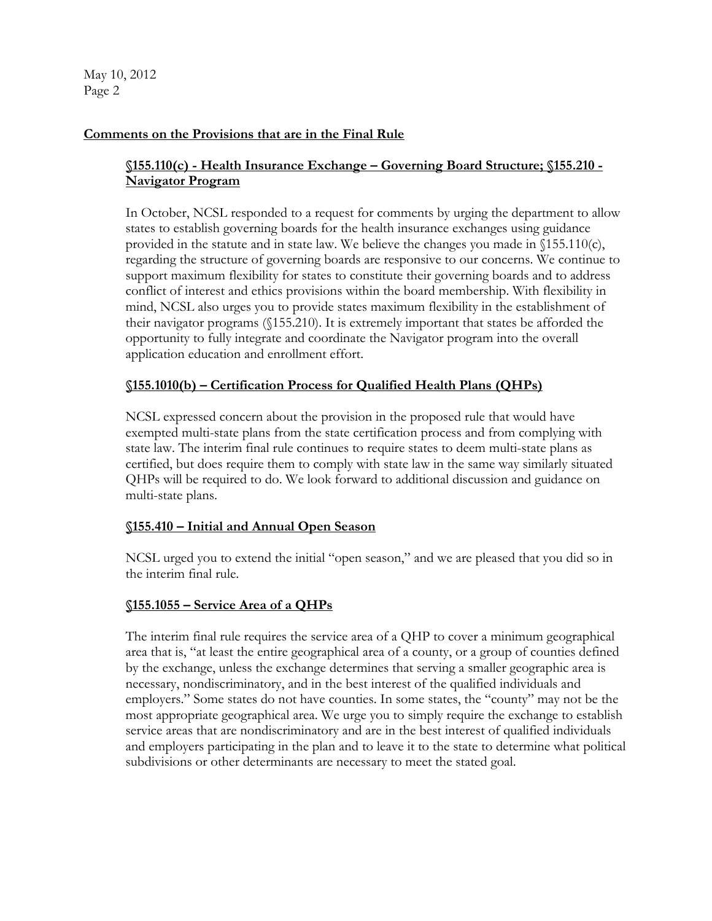May 10, 2012 Page 2

### **Comments on the Provisions that are in the Final Rule**

# **§155.110(c) - Health Insurance Exchange – Governing Board Structure; §155.210 - Navigator Program**

In October, NCSL responded to a request for comments by urging the department to allow states to establish governing boards for the health insurance exchanges using guidance provided in the statute and in state law. We believe the changes you made in  $\{155.110(c)$ , regarding the structure of governing boards are responsive to our concerns. We continue to support maximum flexibility for states to constitute their governing boards and to address conflict of interest and ethics provisions within the board membership. With flexibility in mind, NCSL also urges you to provide states maximum flexibility in the establishment of their navigator programs (§155.210). It is extremely important that states be afforded the opportunity to fully integrate and coordinate the Navigator program into the overall application education and enrollment effort.

### **§155.1010(b) – Certification Process for Qualified Health Plans (QHPs)**

NCSL expressed concern about the provision in the proposed rule that would have exempted multi-state plans from the state certification process and from complying with state law. The interim final rule continues to require states to deem multi-state plans as certified, but does require them to comply with state law in the same way similarly situated QHPs will be required to do. We look forward to additional discussion and guidance on multi-state plans.

### **§155.410 – Initial and Annual Open Season**

NCSL urged you to extend the initial "open season," and we are pleased that you did so in the interim final rule.

### **§155.1055 – Service Area of a QHPs**

The interim final rule requires the service area of a QHP to cover a minimum geographical area that is, "at least the entire geographical area of a county, or a group of counties defined by the exchange, unless the exchange determines that serving a smaller geographic area is necessary, nondiscriminatory, and in the best interest of the qualified individuals and employers." Some states do not have counties. In some states, the "county" may not be the most appropriate geographical area. We urge you to simply require the exchange to establish service areas that are nondiscriminatory and are in the best interest of qualified individuals and employers participating in the plan and to leave it to the state to determine what political subdivisions or other determinants are necessary to meet the stated goal.